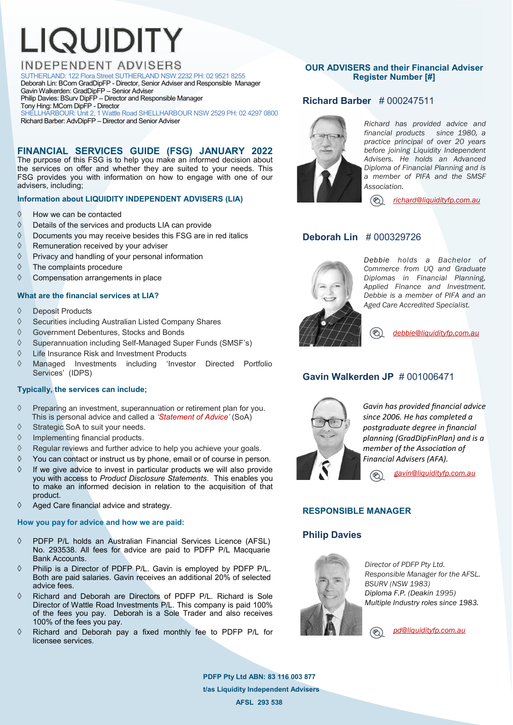# LIQUIDITY

# **INDEPENDENT ADVISERS**

SUTHERLAND: 122 Flora Street SUTHERLAND NSW 2232 PH: 02 9521 8255 Deborah Lin: BCom GradDipFP - Director, Senior Adviser and Responsible Manager Gavin Walkerden: GradDipFP – Senior Adviser

Philip Davies: BSurv DipFP – Director and Responsible Manager

Tony Hing: MCom DipFP - Director

SHELLHARBOUR: Unit 2, 1 Wattle Road SHELLHARBOUR NSW 2529 PH: 02 4297 0800 Richard Barber: AdvDipFP – Director and Senior Adviser

**FINANCIAL SERVICES GUIDE (FSG) JANUARY 2022**  The purpose of this FSG is to help you make an informed decision about the services on offer and whether they are suited to your needs. This FSG provides you with information on how to engage with one of our advisers, including;

# **Information about LIQUIDITY INDEPENDENT ADVISERS (LIA)**

- $\Diamond$  How we can be contacted
- $\Diamond$  Details of the services and products LIA can provide
- $\Diamond$  Documents you may receive besides this FSG are in red italics
- $\Diamond$  Remuneration received by your adviser
- $\Diamond$  Privacy and handling of your personal information
- $\Diamond$  The complaints procedure
- $\Diamond$  Compensation arrangements in place

# **What are the financial services at LIA?**

- ♦ Deposit Products
- $\Diamond$  Securities including Australian Listed Company Shares
- Government Debentures, Stocks and Bonds
- $\Diamond$  Superannuation including Self-Managed Super Funds (SMSF's)
- Life Insurance Risk and Investment Products
- Managed Investments including 'Investor Directed Portfolio Services' (IDPS)

# **Typically, the services can include;**

- $\Diamond$  Preparing an investment, superannuation or retirement plan for you. This is personal advice and called a *'Statement of Advice'* (SoA)
- $\Diamond$  Strategic SoA to suit your needs.
- $\Diamond$  Implementing financial products.
- $\Diamond$  Regular reviews and further advice to help you achieve your goals.
- $\Diamond$  You can contact or instruct us by phone, email or of course in person.
- $\Diamond$  If we give advice to invest in particular products we will also provide you with access to *Product Disclosure Statements*. This enables you to make an informed decision in relation to the acquisition of that product.
- $\Diamond$  Aged Care financial advice and strategy.

#### **How you pay for advice and how we are paid:**

- PDFP P/L holds an Australian Financial Services Licence (AFSL) No. 293538. All fees for advice are paid to PDFP P/L Macquarie Bank Accounts.
- Philip is a Director of PDFP P/L. Gavin is employed by PDFP P/L. Both are paid salaries. Gavin receives an additional 20% of selected advice fees.
- Richard and Deborah are Directors of PDFP P/L. Richard is Sole Director of Wattle Road Investments P/L. This company is paid 100% of the fees you pay. Deborah is a Sole Trader and also receives 100% of the fees you pay.
- $\Diamond$  Richard and Deborah pay a fixed monthly fee to PDFP P/L for licensee services.

# **OUR ADVISERS and their Financial Adviser Register Number [#]**

**Richard Barber** # 000247511



*Richard has provided advice and financial products since 1980, a practice principal of over 20 years before joining Liquidity Independent Advisers. He holds an Advanced Diploma of Financial Planning and is a member of PIFA and the SMSF Association.* 

 *[richard@liquidityfp.com.au](mailto:richard@liquidityfp.com.au)*

# **Deborah Lin** # 000329726



*Debbie holds a Bachelor of Commerce from UQ and Graduate Diplomas in Financial Planning, Applied Finance and Investment. Debbie is a member of PIFA and an Aged Care Accredited Specialist.* 

 $\circledast$  *[debbie@liquidityfp.com.au](mailto:debbie@liquidityfp.com.au)*

# **Gavin Walkerden JP** # 001006471



*Gavin has provided financial advice since 2006. He has completed a postgraduate degree in financial planning (GradDipFinPlan) and is a member of the Association of Financial Advisers (AFA).* 

 *[gavin@liquidityfp.com.au](mailto:gavin@liquidityfp.com.au)*  $\circledR$ 

# **RESPONSIBLE MANAGER**

# **Philip Davies**



*Director of PDFP Pty Ltd. Responsible Manager for the AFSL. BSURV (NSW 1983) Diploma F.P. (Deakin 1995) Multiple Industry roles since 1983.* 

 *p[d@liquidityfp.com.au](mailto:phil@liquidityfp.com.au)*  $\circledast$ 

**PDFP Pty Ltd ABN: 83 116 003 877 t/as Liquidity Independent Advisers AFSL 293 538**